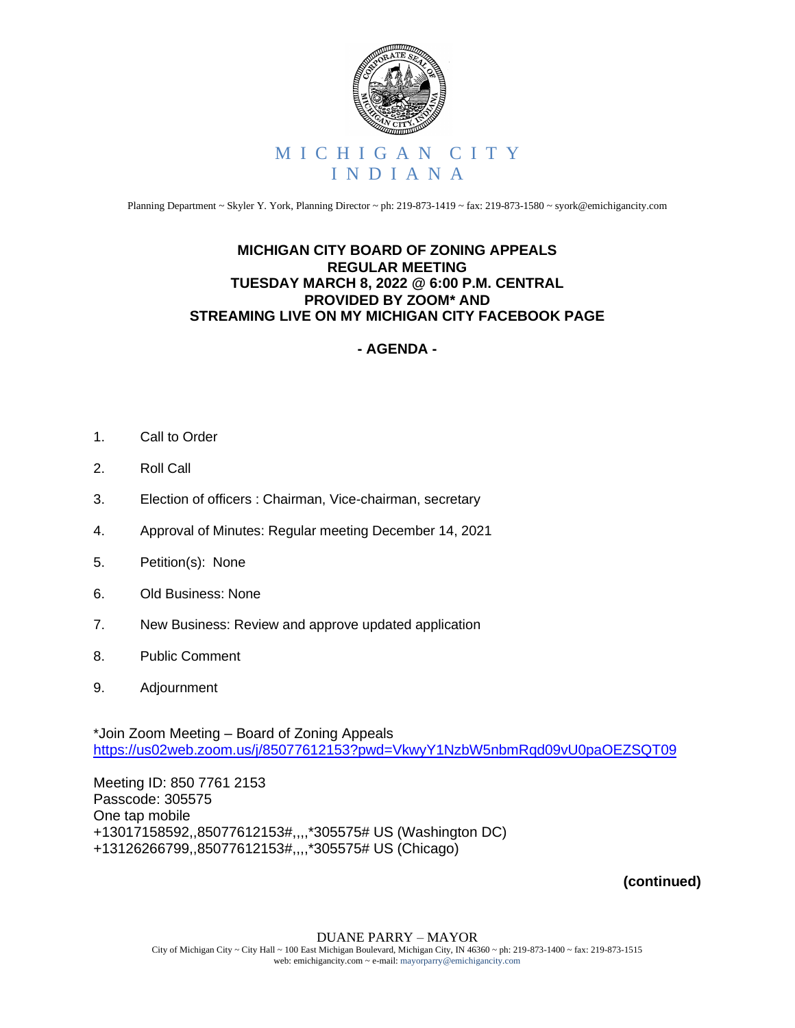

Planning Department ~ Skyler Y. York, Planning Director ~ ph: 219-873-1419 ~ fax: 219-873-1580 ~ syork@emichigancity.com

## **MICHIGAN CITY BOARD OF ZONING APPEALS REGULAR MEETING TUESDAY MARCH 8, 2022 @ 6:00 P.M. CENTRAL PROVIDED BY ZOOM\* AND STREAMING LIVE ON MY MICHIGAN CITY FACEBOOK PAGE**

## **- AGENDA -**

- 1. Call to Order
- 2. Roll Call
- 3. Election of officers : Chairman, Vice-chairman, secretary
- 4. Approval of Minutes: Regular meeting December 14, 2021
- 5. Petition(s): None
- 6. Old Business: None
- 7. New Business: Review and approve updated application
- 8. Public Comment
- 9. Adjournment

\*Join Zoom Meeting – Board of Zoning Appeals <https://us02web.zoom.us/j/85077612153?pwd=VkwyY1NzbW5nbmRqd09vU0paOEZSQT09>

Meeting ID: 850 7761 2153 Passcode: 305575 One tap mobile +13017158592,,85077612153#,,,,\*305575# US (Washington DC) +13126266799,,85077612153#,,,,\*305575# US (Chicago)

**(continued)**